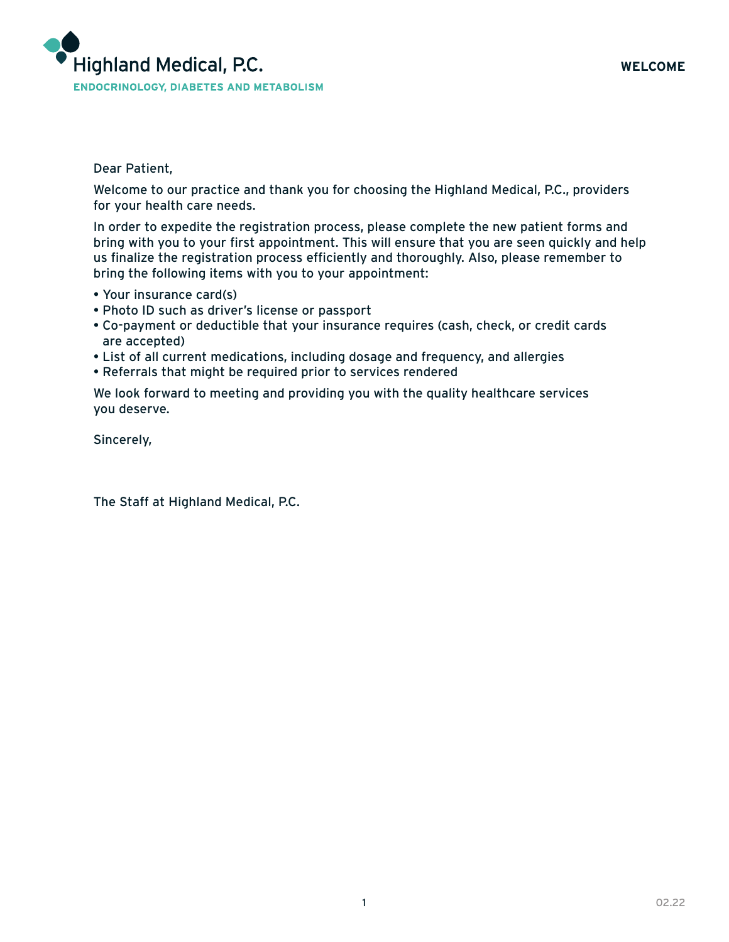

Dear Patient,

Welcome to our practice and thank you for choosing the Highland Medical, P.C., providers for your health care needs.

In order to expedite the registration process, please complete the new patient forms and bring with you to your first appointment. This will ensure that you are seen quickly and help us finalize the registration process efficiently and thoroughly. Also, please remember to bring the following items with you to your appointment:

- Your insurance card(s)
- Photo ID such as driver's license or passport
- Co-payment or deductible that your insurance requires (cash, check, or credit cards are accepted)
- List of all current medications, including dosage and frequency, and allergies
- Referrals that might be required prior to services rendered

We look forward to meeting and providing you with the quality healthcare services you deserve.

Sincerely,

The Staff at Highland Medical, P.C.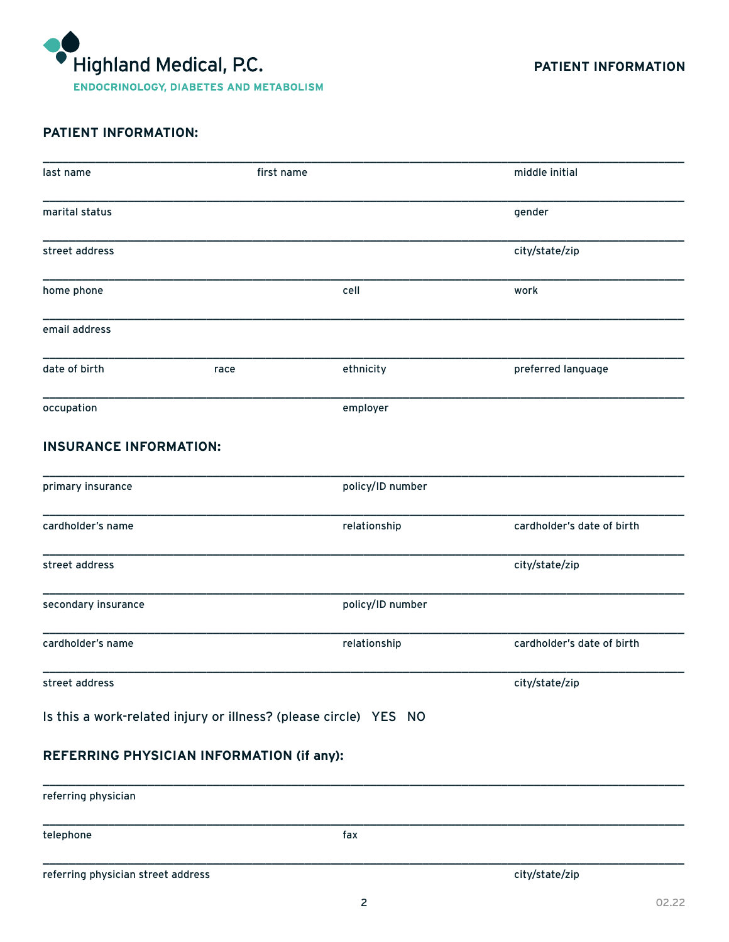

# **PATIENT INFORMATION:**

| last name                                                        | first name |                  | middle initial             |
|------------------------------------------------------------------|------------|------------------|----------------------------|
| marital status                                                   |            |                  | gender                     |
| street address                                                   |            |                  | city/state/zip             |
| home phone                                                       |            | cell             | work                       |
| email address                                                    |            |                  |                            |
| date of birth                                                    | race       | ethnicity        | preferred language         |
| occupation                                                       |            | employer         |                            |
| <b>INSURANCE INFORMATION:</b>                                    |            |                  |                            |
| primary insurance                                                |            | policy/ID number |                            |
| cardholder's name                                                |            | relationship     | cardholder's date of birth |
| street address                                                   |            |                  | city/state/zip             |
| secondary insurance                                              |            | policy/ID number |                            |
| cardholder's name                                                |            | relationship     | cardholder's date of birth |
| street address                                                   |            |                  | city/state/zip             |
| Is this a work-related injury or illness? (please circle) YES NO |            |                  |                            |
| REFERRING PHYSICIAN INFORMATION (if any):                        |            |                  |                            |
| referring physician                                              |            |                  |                            |
| telephone                                                        |            | fax              |                            |
| referring physician street address                               |            |                  | city/state/zip             |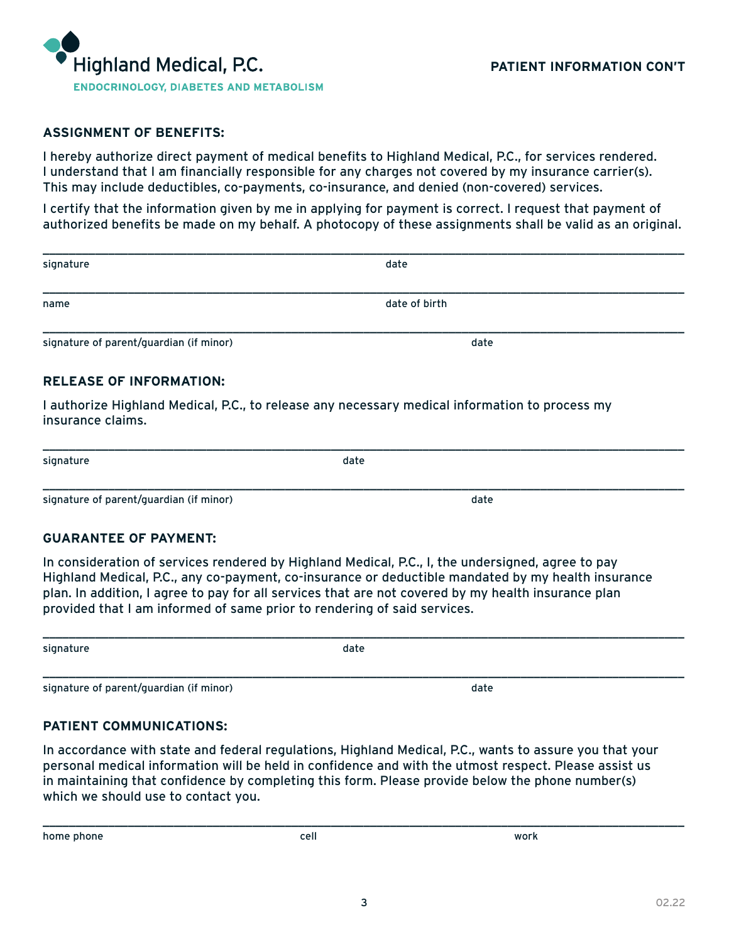

#### **ASSIGNMENT OF BENEFITS:**

I hereby authorize direct payment of medical benefits to Highland Medical, P.C., for services rendered. I understand that I am financially responsible for any charges not covered by my insurance carrier(s). This may include deductibles, co-payments, co-insurance, and denied (non-covered) services.

I certify that the information given by me in applying for payment is correct. I request that payment of authorized benefits be made on my behalf. A photocopy of these assignments shall be valid as an original.

| signature                               | date          |
|-----------------------------------------|---------------|
| name                                    | date of birth |
| signature of parent/guardian (if minor) | date          |

\_\_\_\_\_\_\_\_\_\_\_\_\_\_\_\_\_\_\_\_\_\_\_\_\_\_\_\_\_\_\_\_\_\_\_\_\_\_\_\_\_\_\_\_\_\_\_\_\_\_\_\_\_\_\_\_\_\_\_\_\_\_\_\_\_\_\_\_\_\_\_\_\_\_\_\_\_\_\_\_\_\_\_\_\_\_\_\_\_\_\_\_\_\_\_\_\_\_

\_\_\_\_\_\_\_\_\_\_\_\_\_\_\_\_\_\_\_\_\_\_\_\_\_\_\_\_\_\_\_\_\_\_\_\_\_\_\_\_\_\_\_\_\_\_\_\_\_\_\_\_\_\_\_\_\_\_\_\_\_\_\_\_\_\_\_\_\_\_\_\_\_\_\_\_\_\_\_\_\_\_\_\_\_\_\_\_\_\_\_\_\_\_\_\_\_\_

#### **RELEASE OF INFORMATION:**

I authorize Highland Medical, P.C., to release any necessary medical information to process my insurance claims.

| signature | date |
|-----------|------|
|           |      |

signature of parent/guardian (if minor) and the control of the control of the control of the control of the control of the control of the control of the control of the control of the control of the control of the control o

#### **GUARANTEE OF PAYMENT:**

In consideration of services rendered by Highland Medical, P.C., I, the undersigned, agree to pay Highland Medical, P.C., any co-payment, co-insurance or deductible mandated by my health insurance plan. In addition, I agree to pay for all services that are not covered by my health insurance plan provided that I am informed of same prior to rendering of said services.

| signature                               | date |      |  |  |
|-----------------------------------------|------|------|--|--|
|                                         |      |      |  |  |
| signature of parent/guardian (if minor) |      | date |  |  |

#### **PATIENT COMMUNICATIONS:**

In accordance with state and federal regulations, Highland Medical, P.C., wants to assure you that your personal medical information will be held in confidence and with the utmost respect. Please assist us in maintaining that confidence by completing this form. Please provide below the phone number(s) which we should use to contact you.

home phone cell work

\_\_\_\_\_\_\_\_\_\_\_\_\_\_\_\_\_\_\_\_\_\_\_\_\_\_\_\_\_\_\_\_\_\_\_\_\_\_\_\_\_\_\_\_\_\_\_\_\_\_\_\_\_\_\_\_\_\_\_\_\_\_\_\_\_\_\_\_\_\_\_\_\_\_\_\_\_\_\_\_\_\_\_\_\_\_\_\_\_\_\_\_\_\_\_\_\_\_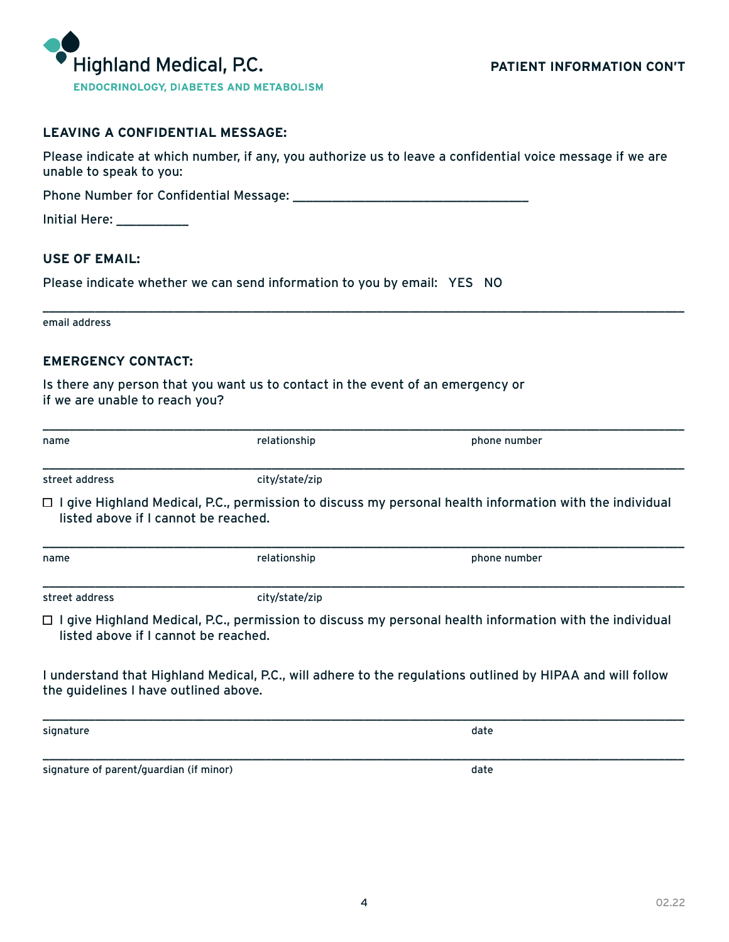

## **LEAVING A CONFIDENTIAL MESSAGE:**

Please indicate at which number, if any, you authorize us to leave a confidential voice message if we are unable to speak to you:

\_\_\_\_\_\_\_\_\_\_\_\_\_\_\_\_\_\_\_\_\_\_\_\_\_\_\_\_\_\_\_\_\_\_\_\_\_\_\_\_\_\_\_\_\_\_\_\_\_\_\_\_\_\_\_\_\_\_\_\_\_\_\_\_\_\_\_\_\_\_\_\_\_\_\_\_\_\_\_\_\_\_\_\_\_\_\_\_\_\_\_\_\_\_\_\_\_\_

Phone Number for Confidential Message: \_\_\_\_\_\_\_\_\_\_\_\_\_\_\_\_\_\_\_\_\_\_\_\_\_\_\_\_\_\_\_\_\_\_\_\_

| <b>Initial Here:</b> |  |  |  |
|----------------------|--|--|--|
|                      |  |  |  |

#### **USE OF EMAIL:**

Please indicate whether we can send information to you by email: YES NO

|  |  | email address |
|--|--|---------------|
|--|--|---------------|

### **EMERGENCY CONTACT:**

Is there any person that you want us to contact in the event of an emergency or if we are unable to reach you?

| name                                  | relationship   | phone number                                                                                                   |  |
|---------------------------------------|----------------|----------------------------------------------------------------------------------------------------------------|--|
| street address                        | city/state/zip |                                                                                                                |  |
| listed above if I cannot be reached.  |                | $\Box$ I give Highland Medical, P.C., permission to discuss my personal health information with the individual |  |
| name                                  | relationship   | phone number                                                                                                   |  |
| street address                        | city/state/zip |                                                                                                                |  |
| listed above if I cannot be reached.  |                | $\Box$ I give Highland Medical, P.C., permission to discuss my personal health information with the individual |  |
| the guidelines I have outlined above. |                | I understand that Highland Medical, P.C., will adhere to the regulations outlined by HIPAA and will follow     |  |
| signature                             |                | date                                                                                                           |  |

signature of parent/guardian (if minor) and the state of parent of parent of the state of the state of the state of the state of the state of the state of the state of the state of the state of the state of the state of th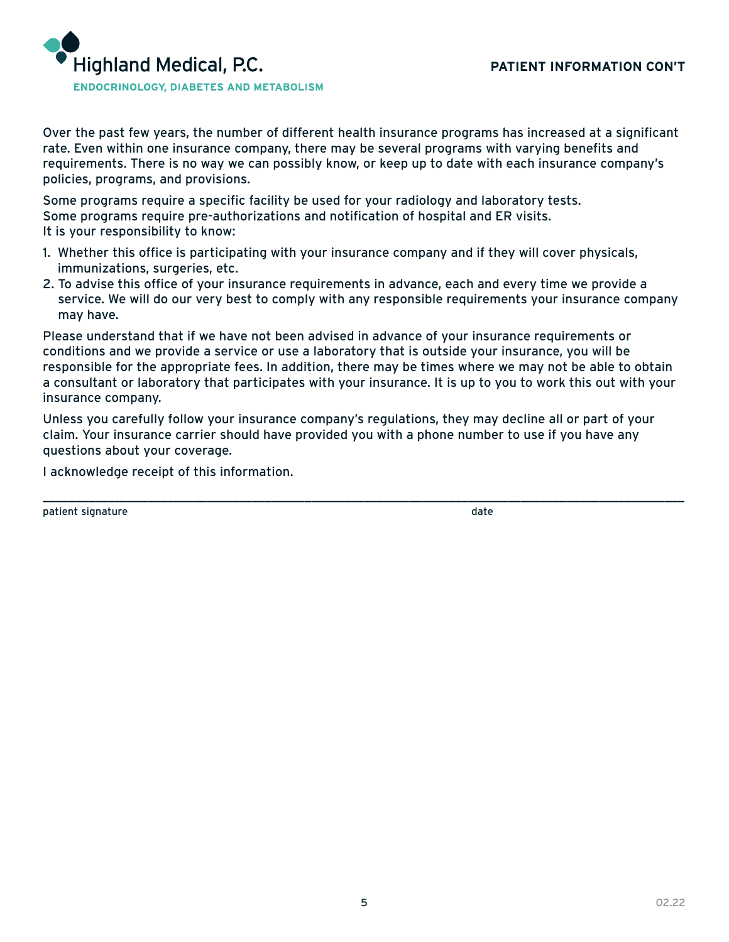

Over the past few years, the number of different health insurance programs has increased at a significant rate. Even within one insurance company, there may be several programs with varying benefits and requirements. There is no way we can possibly know, or keep up to date with each insurance company's policies, programs, and provisions.

Some programs require a specific facility be used for your radiology and laboratory tests. Some programs require pre-authorizations and notification of hospital and ER visits. It is your responsibility to know:

- 1. Whether this office is participating with your insurance company and if they will cover physicals, immunizations, surgeries, etc.
- 2. To advise this office of your insurance requirements in advance, each and every time we provide a service. We will do our very best to comply with any responsible requirements your insurance company may have.

Please understand that if we have not been advised in advance of your insurance requirements or conditions and we provide a service or use a laboratory that is outside your insurance, you will be responsible for the appropriate fees. In addition, there may be times where we may not be able to obtain a consultant or laboratory that participates with your insurance. It is up to you to work this out with your insurance company.

Unless you carefully follow your insurance company's regulations, they may decline all or part of your claim. Your insurance carrier should have provided you with a phone number to use if you have any questions about your coverage.

\_\_\_\_\_\_\_\_\_\_\_\_\_\_\_\_\_\_\_\_\_\_\_\_\_\_\_\_\_\_\_\_\_\_\_\_\_\_\_\_\_\_\_\_\_\_\_\_\_\_\_\_\_\_\_\_\_\_\_\_\_\_\_\_\_\_\_\_\_\_\_\_\_\_\_\_\_\_\_\_\_\_\_\_\_\_\_\_\_\_\_\_\_\_\_\_\_\_

I acknowledge receipt of this information.

patient signature date date of the state of the state of the state date of the state of the state of the state o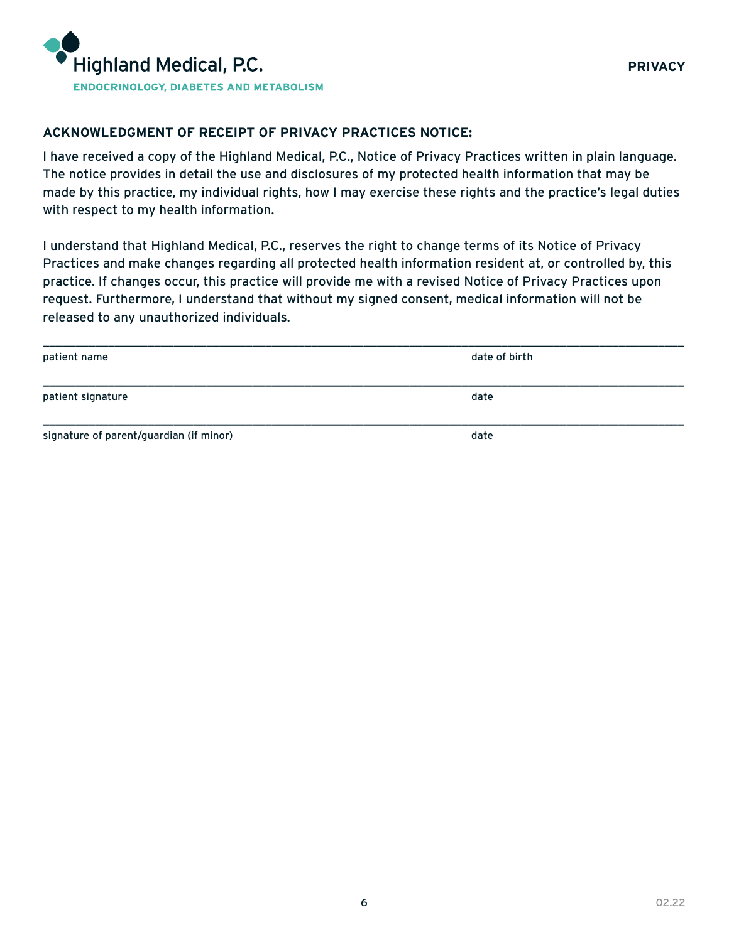

#### **ACKNOWLEDGMENT OF RECEIPT OF PRIVACY PRACTICES NOTICE:**

I have received a copy of the Highland Medical, P.C., Notice of Privacy Practices written in plain language. The notice provides in detail the use and disclosures of my protected health information that may be made by this practice, my individual rights, how I may exercise these rights and the practice's legal duties with respect to my health information.

I understand that Highland Medical, P.C., reserves the right to change terms of its Notice of Privacy Practices and make changes regarding all protected health information resident at, or controlled by, this practice. If changes occur, this practice will provide me with a revised Notice of Privacy Practices upon request. Furthermore, I understand that without my signed consent, medical information will not be released to any unauthorized individuals.

| patient name                            | date of birth |
|-----------------------------------------|---------------|
| patient signature                       | date          |
| signature of parent/guardian (if minor) | date          |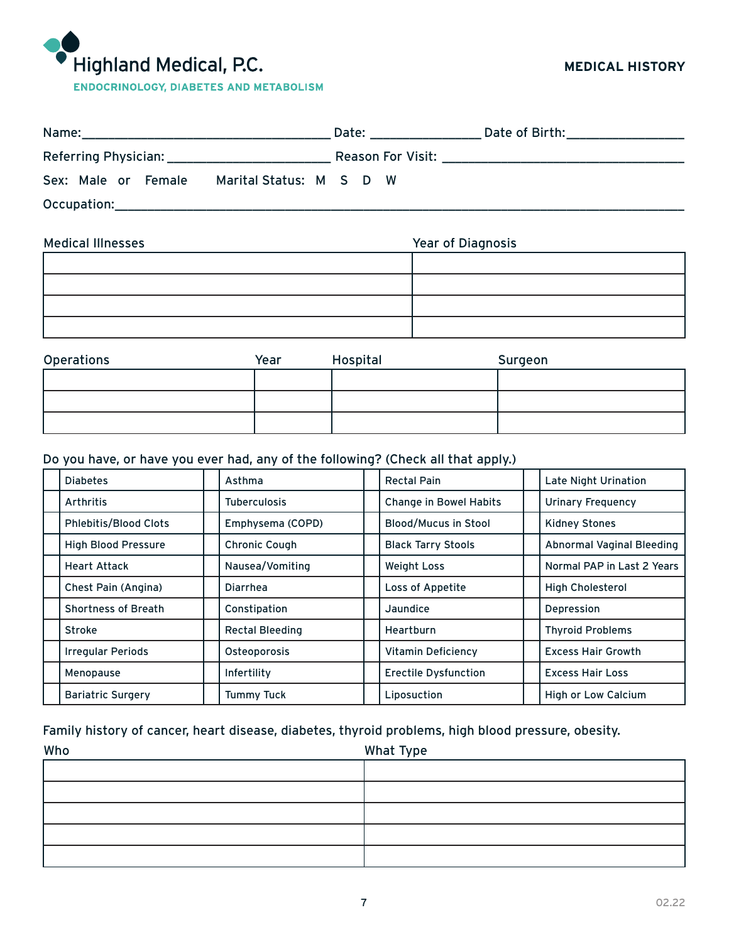# Highland Medical, P.C.

## **MEDICAL HISTORY**

| Name:                                                                                                                                                                                                                          | Date: | Date of Birth:                                        |
|--------------------------------------------------------------------------------------------------------------------------------------------------------------------------------------------------------------------------------|-------|-------------------------------------------------------|
| Referring Physician: National Physician American Control Control Control Control Control Control Control Control Control Control Control Control Control Control Control Control Control Control Control Control Control Contr |       | Reason For Visit: The Season of The Season For Visit: |
| Sex: Male or Female<br>Marital Status: M S D W                                                                                                                                                                                 |       |                                                       |
| Occupation:                                                                                                                                                                                                                    |       |                                                       |

| <b>Medical Illnesses</b> | Year of Diagnosis |  |  |
|--------------------------|-------------------|--|--|
|                          |                   |  |  |
|                          |                   |  |  |
|                          |                   |  |  |
|                          |                   |  |  |

| Operations | Year | Hospital | Surgeon |
|------------|------|----------|---------|
|            |      |          |         |
|            |      |          |         |
|            |      |          |         |

## Do you have, or have you ever had, any of the following? (Check all that apply.)

| <b>Diabetes</b>              | Asthma                 | <b>Rectal Pain</b>            | <b>Late Night Urination</b> |
|------------------------------|------------------------|-------------------------------|-----------------------------|
| Arthritis                    | <b>Tuberculosis</b>    | <b>Change in Bowel Habits</b> | <b>Urinary Frequency</b>    |
| <b>Phlebitis/Blood Clots</b> | Emphysema (COPD)       | <b>Blood/Mucus in Stool</b>   | <b>Kidney Stones</b>        |
| <b>High Blood Pressure</b>   | <b>Chronic Cough</b>   | <b>Black Tarry Stools</b>     | Abnormal Vaginal Bleeding   |
| <b>Heart Attack</b>          | Nausea/Vomiting        | <b>Weight Loss</b>            | Normal PAP in Last 2 Years  |
| Chest Pain (Angina)          | <b>Diarrhea</b>        | Loss of Appetite              | <b>High Cholesterol</b>     |
| <b>Shortness of Breath</b>   | Constipation           | Jaundice                      | Depression                  |
| <b>Stroke</b>                | <b>Rectal Bleeding</b> | Heartburn                     | <b>Thyroid Problems</b>     |
| <b>Irregular Periods</b>     | Osteoporosis           | <b>Vitamin Deficiency</b>     | <b>Excess Hair Growth</b>   |
| Menopause                    | Infertility            | <b>Erectile Dysfunction</b>   | <b>Excess Hair Loss</b>     |
| <b>Bariatric Surgery</b>     | <b>Tummy Tuck</b>      | Liposuction                   | <b>High or Low Calcium</b>  |

## Family history of cancer, heart disease, diabetes, thyroid problems, high blood pressure, obesity.

| Who | What Type |
|-----|-----------|
|     |           |
|     |           |
|     |           |
|     |           |
|     |           |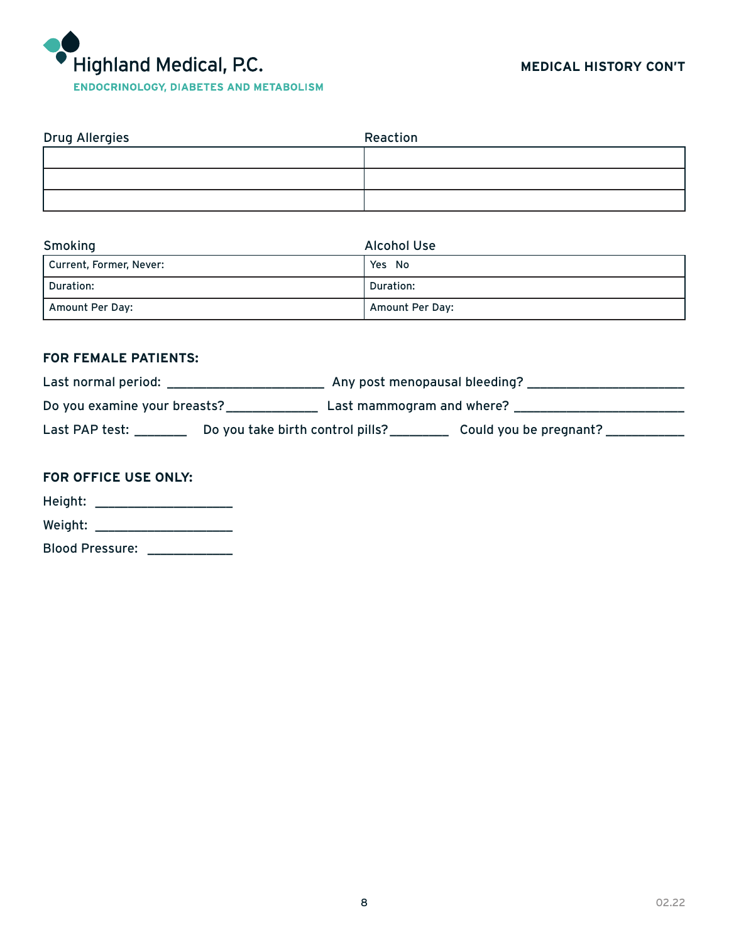

| Drug Allergies | Reaction |
|----------------|----------|
|                |          |
|                |          |
|                |          |

| Smoking                 | <b>Alcohol Use</b> |
|-------------------------|--------------------|
| Current, Former, Never: | Yes No             |
| Duration:               | Duration:          |
| Amount Per Day:         | Amount Per Day:    |

# **FOR FEMALE PATIENTS:**

| Last normal period:          |                                  | Any post menopausal bleeding? |                        |
|------------------------------|----------------------------------|-------------------------------|------------------------|
| Do you examine your breasts? |                                  | Last mammogram and where?     |                        |
| Last PAP test:               | Do you take birth control pills? |                               | Could you be pregnant? |

# **FOR OFFICE USE ONLY:**

| Height:                |  |
|------------------------|--|
| Weight:                |  |
| <b>Blood Pressure:</b> |  |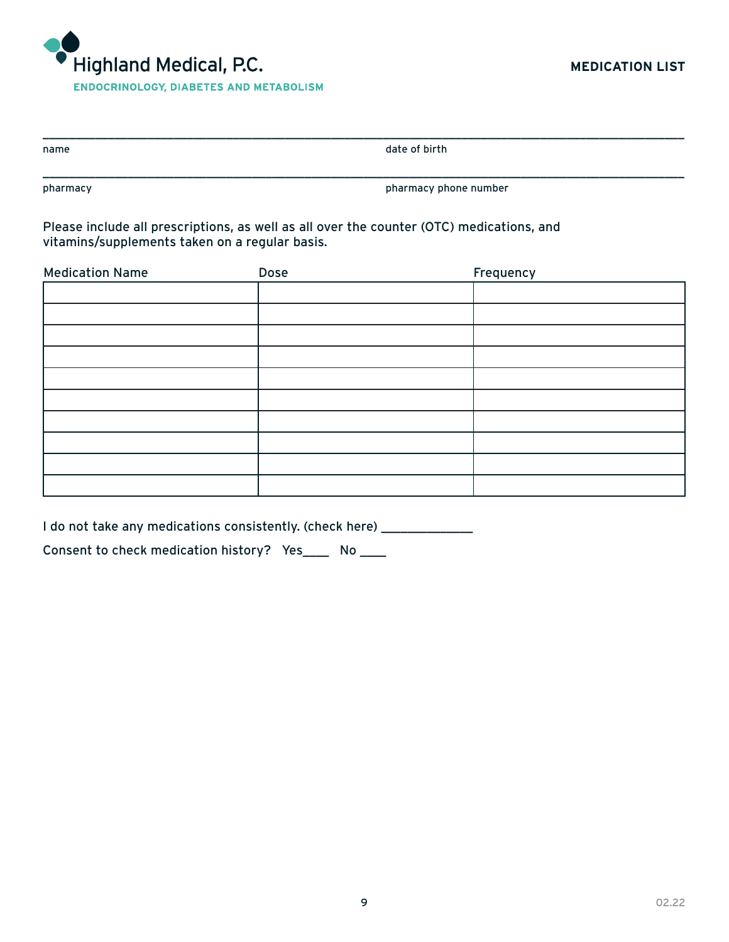

| name | date of birth |
|------|---------------|
|      |               |

pharmacy pharmacy phone number

Please include all prescriptions, as well as all over the counter (OTC) medications, and vitamins/supplements taken on a regular basis.

| Dose | Frequency |
|------|-----------|
|      |           |
|      |           |
|      |           |
|      |           |
|      |           |
|      |           |
|      |           |
|      |           |
|      |           |
|      |           |
|      |           |

I do not take any medications consistently. (check here) \_\_\_\_\_\_\_\_\_\_\_\_\_\_\_\_\_\_\_\_\_\_\_

Consent to check medication history? Yes\_\_\_\_ No \_\_\_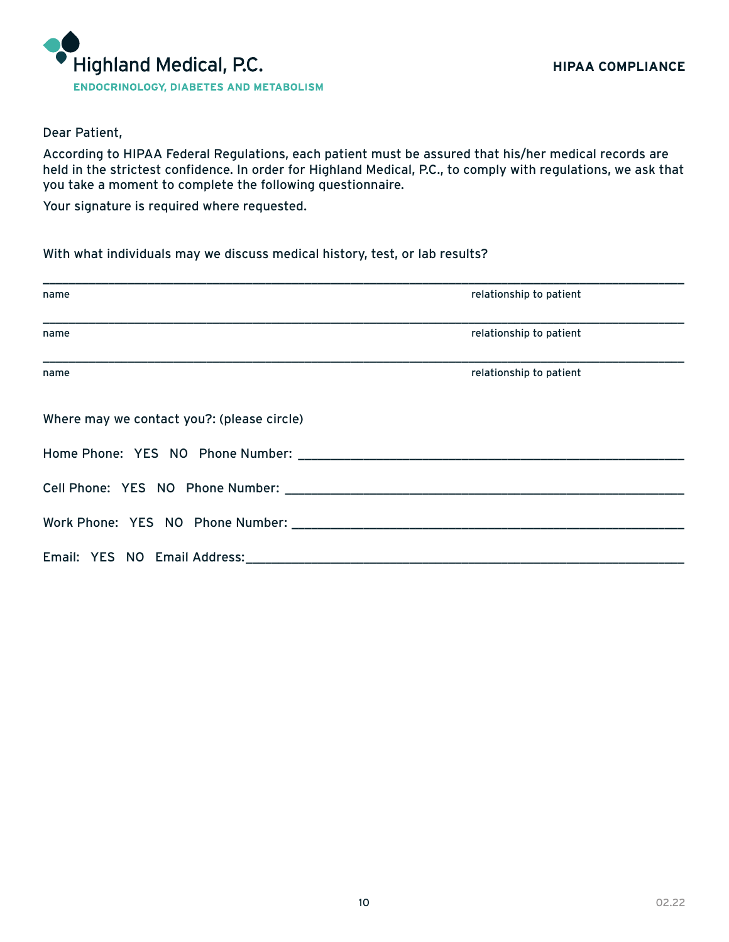

#### Dear Patient,

According to HIPAA Federal Regulations, each patient must be assured that his/her medical records are held in the strictest confidence. In order for Highland Medical, P.C., to comply with regulations, we ask that you take a moment to complete the following questionnaire.

Your signature is required where requested.

With what individuals may we discuss medical history, test, or lab results?

| name                                       | relationship to patient |  |
|--------------------------------------------|-------------------------|--|
| name                                       | relationship to patient |  |
| name                                       | relationship to patient |  |
| Where may we contact you?: (please circle) |                         |  |
|                                            |                         |  |
|                                            |                         |  |
|                                            |                         |  |
|                                            |                         |  |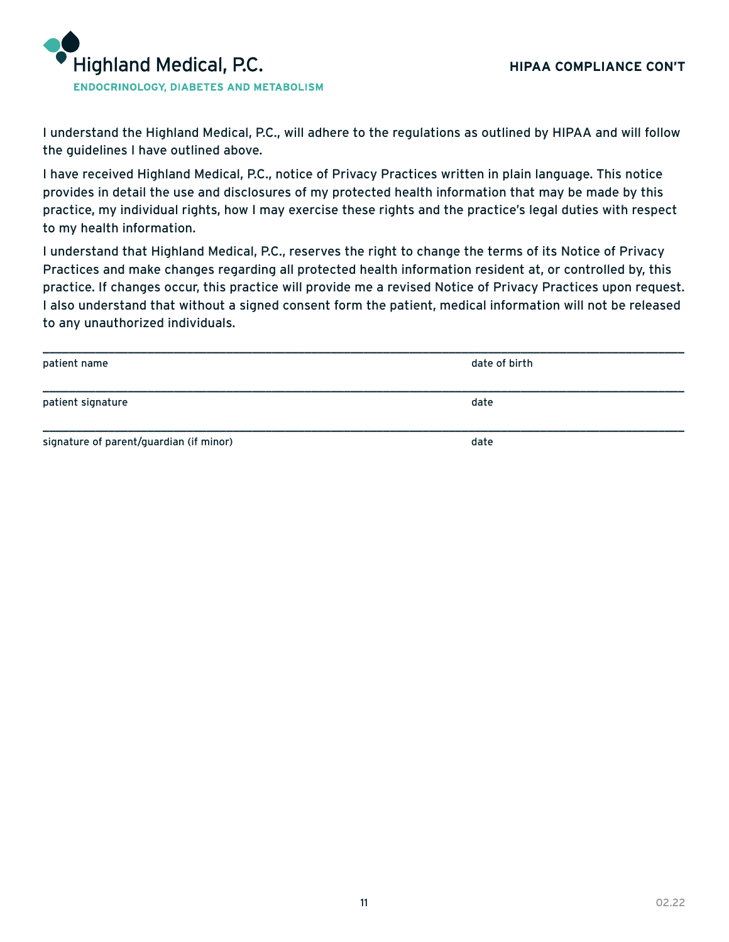

I understand the Highland Medical, P.C., will adhere to the regulations as outlined by HIPAA and will follow the guidelines I have outlined above.

I have received Highland Medical, P.C., notice of Privacy Practices written in plain language. This notice provides in detail the use and disclosures of my protected health information that may be made by this practice, my individual rights, how I may exercise these rights and the practice's legal duties with respect to my health information.

I understand that Highland Medical, P.C., reserves the right to change the terms of its Notice of Privacy Practices and make changes regarding all protected health information resident at, or controlled by, this practice. If changes occur, this practice will provide me a revised Notice of Privacy Practices upon request. I also understand that without a signed consent form the patient, medical information will not be released to any unauthorized individuals.

| patient name                            | date of birth |
|-----------------------------------------|---------------|
| patient signature                       | date          |
| signature of parent/guardian (if minor) | date          |